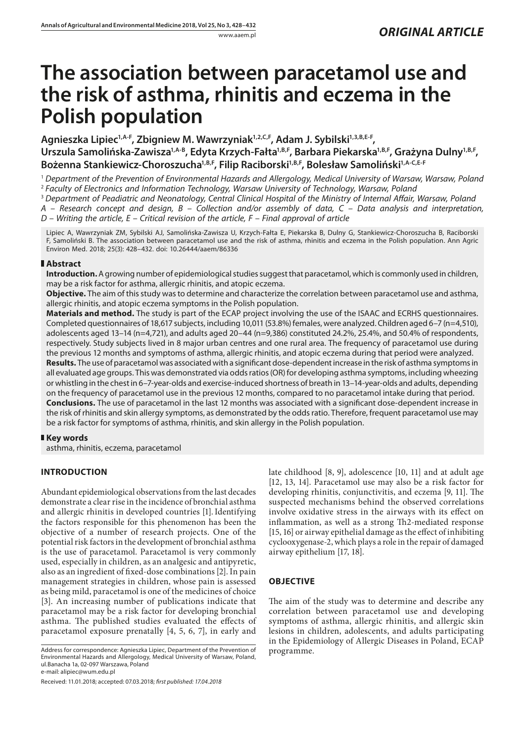# **The association between paracetamol use and the risk of asthma, rhinitis and eczema in the Polish population**

Agnieszka Lipiec<sup>1,A-F</sup>, Zbigniew M. Wawrzyniak<sup>1,2,C,F</sup>, Adam J. Sybilski<sup>1,3,B,E-F</sup>, Urszula Samolińska-Zawisza<sup>1,A-B</sup>, Edyta Krzych-Fałta<sup>1,B,F</sup>, Barbara Piekarska<sup>1,B,F</sup>, Grażyna Dulny<sup>1,B,F</sup>, Bożenna Stankiewicz-Choroszucha<sup>1,B,F</sup>, Filip Raciborski<sup>1,B,F</sup>, Bolesław Samoliński<sup>1,A-C,E-F</sup>

<sup>1</sup> *Department of the Prevention of Environmental Hazards and Allergology, Medical University of Warsaw, Warsaw, Poland* <sup>2</sup> *Faculty of Electronics and Information Technology, Warsaw University of Technology, Warsaw, Poland*

<sup>3</sup> *Department of Peadiatric and Neonatology, Central Clinical Hospital of the Ministry of Internal Affair, Warsaw, Poland A – Research concept and design, B – Collection and/or assembly of data, C – Data analysis and interpretation,* 

*D – Writing the article, E – Critical revision of the article, F – Final approval of article*

Lipiec A, Wawrzyniak ZM, Sybilski AJ, Samolińska-Zawisza U, Krzych-Fałta E, Piekarska B, Dulny G, Stankiewicz-Choroszucha B, Raciborski F, Samoliński B. The association between paracetamol use and the risk of asthma, rhinitis and eczema in the Polish population. Ann Agric Environ Med. 2018; 25(3): 428–432. doi: 10.26444/aaem/86336

## **Abstract**

**Introduction.** A growing number of epidemiological studies suggest that paracetamol, which is commonly used in children, may be a risk factor for asthma, allergic rhinitis, and atopic eczema.

**Objective.** The aim of this study was to determine and characterize the correlation between paracetamol use and asthma, allergic rhinitis, and atopic eczema symptoms in the Polish population.

**Materials and method.** The study is part of the ECAP project involving the use of the ISAAC and ECRHS questionnaires. Completed questionnaires of 18,617 subjects, including 10,011 (53.8%) females, were analyzed. Children aged 6–7 (n=4,510), adolescents aged 13–14 (n=4,721), and adults aged 20–44 (n=9,386) constituted 24.2%, 25.4%, and 50.4% of respondents, respectively. Study subjects lived in 8 major urban centres and one rural area. The frequency of paracetamol use during the previous 12 months and symptoms of asthma, allergic rhinitis, and atopic eczema during that period were analyzed. **Results.** The use of paracetamol was associated with a significant dose-dependent increase in the risk of asthma symptoms in all evaluated age groups. This was demonstrated via odds ratios (OR) for developing asthma symptoms, including wheezing or whistling in the chest in 6–7-year-olds and exercise-induced shortness of breath in 13–14-year-olds and adults, depending on the frequency of paracetamol use in the previous 12 months, compared to no paracetamol intake during that period. **Conclusions.** The use of paracetamol in the last 12 months was associated with a significant dose-dependent increase in the risk of rhinitis and skin allergy symptoms, as demonstrated by the odds ratio. Therefore, frequent paracetamol use may be a risk factor for symptoms of asthma, rhinitis, and skin allergy in the Polish population.

# **Key words**

asthma, rhinitis, eczema, paracetamol

# **INTRODUCTION**

Abundant epidemiological observations from the last decades demonstrate a clear rise in the incidence of bronchial asthma and allergic rhinitis in developed countries [1]. Identifying the factors responsible for this phenomenon has been the objective of a number of research projects. One of the potential risk factors in the development of bronchial asthma is the use of paracetamol. Paracetamol is very commonly used, especially in children, as an analgesic and antipyretic, also as an ingredient of fixed-dose combinations [2]. In pain management strategies in children, whose pain is assessed as being mild, paracetamol is one of the medicines of choice [3]. An increasing number of publications indicate that paracetamol may be a risk factor for developing bronchial asthma. The published studies evaluated the effects of paracetamol exposure prenatally [4, 5, 6, 7], in early and

Received: 11.01.2018; accepted: 07.03.2018; *first published: 17.04.2018*

late childhood [8, 9], adolescence [10, 11] and at adult age [12, 13, 14]. Paracetamol use may also be a risk factor for developing rhinitis, conjunctivitis, and eczema [9, 11]. The suspected mechanisms behind the observed correlations involve oxidative stress in the airways with its effect on inflammation, as well as a strong Th2-mediated response [15, 16] or airway epithelial damage as the effect of inhibiting cyclooxygenase-2, which plays a role in the repair of damaged airway epithelium [17, 18].

# **OBJECTIVE**

The aim of the study was to determine and describe any correlation between paracetamol use and developing symptoms of asthma, allergic rhinitis, and allergic skin lesions in children, adolescents, and adults participating in the Epidemiology of Allergic Diseases in Poland, ECAP

Address for correspondence: Agnieszka Lipiec, Department of the Prevention of programme.<br>Environmental Hazards and Allergology, Medical University of Warsaw, Poland, ul.Banacha 1a, 02-097 Warszawa, Poland e-mail: alipiec@wum.edu.pl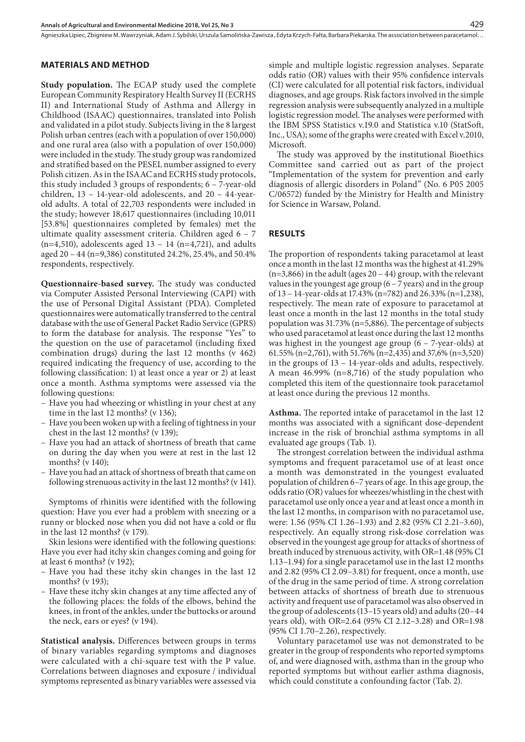Agnieszka Lipiec, Zbigniew M. Wawrzyniak, Adam J. Sybilski, Urszula Samolińska-Zawisza , Edyta Krzych-Fałta, Barbara Piekarska . The association between paracetamol…

## **MATERIALS AND METHOD**

**Study population.** The ECAP study used the complete European Community Respiratory Health Survey II (ECRHS II) and International Study of Asthma and Allergy in Childhood (ISAAC) questionnaires, translated into Polish and validated in a pilot study. Subjects living in the 8 largest Polish urban centres (each with a population of over 150,000) and one rural area (also with a population of over 150,000) were included in the study. The study group was randomized and stratified based on the PESEL number assigned to every Polish citizen. As in the ISAAC and ECRHS study protocols, this study included 3 groups of respondents; 6 – 7-year-old children, 13 – 14-year-old adolescents, and 20 – 44-yearold adults. A total of 22,703 respondents were included in the study; however 18,617 questionnaires (including 10,011 [53.8%] questionnaires completed by females) met the ultimate quality assessment criteria. Children aged 6 – 7  $(n=4,510)$ , adolescents aged 13 – 14  $(n=4,721)$ , and adults aged 20 – 44 (n=9,386) constituted 24.2%, 25.4%, and 50.4% respondents, respectively.

**Questionnaire-based survey.** The study was conducted via Computer Assisted Personal Interviewing (CAPI) with the use of Personal Digital Assistant (PDA). Completed questionnaires were automatically transferred to the central database with the use of General Packet Radio Service (GPRS) to form the database for analysis. The response "Yes" to the question on the use of paracetamol (including fixed combination drugs) during the last 12 months (v 462) required indicating the frequency of use, according to the following classification: 1) at least once a year or 2) at least once a month. Asthma symptoms were assessed via the following questions:

- Have you had wheezing or whistling in your chest at any time in the last 12 months? (v 136);
- Have you been woken up with a feeling of tightness in your chest in the last 12 months? (v 139);
- Have you had an attack of shortness of breath that came on during the day when you were at rest in the last 12 months? (v 140);
- Have you had an attack of shortness of breath that came on following strenuous activity in the last 12 months? (v 141).

Symptoms of rhinitis were identified with the following question: Have you ever had a problem with sneezing or a runny or blocked nose when you did not have a cold or flu in the last 12 months? (v 179).

Skin lesions were identified with the following questions: Have you ever had itchy skin changes coming and going for at least 6 months? (v 192);

- Have you had these itchy skin changes in the last 12 months? (v 193);
- Have these itchy skin changes at any time affected any of the following places: the folds of the elbows, behind the knees, in front of the ankles, under the buttocks or around the neck, ears or eyes? (v 194).

**Statistical analysis.** Differences between groups in terms of binary variables regarding symptoms and diagnoses were calculated with a chi-square test with the P value. Correlations between diagnoses and exposure / individual symptoms represented as binary variables were assessed via

simple and multiple logistic regression analyses. Separate odds ratio (OR) values with their 95% confidence intervals (CI) were calculated for all potential risk factors, individual diagnoses, and age groups. Risk factors involved in the simple regression analysis were subsequently analyzed in a multiple logistic regression model. The analyses were performed with the IBM SPSS Statistics v.19.0 and Statistica v.10 (StatSoft, Inc., USA); some of the graphs were created with Excel v.2010, Microsoft.

The study was approved by the institutional Bioethics Committee sand carried out as part of the project "Implementation of the system for prevention and early diagnosis of allergic disorders in Poland" (No. 6 P05 2005 C/06572) funded by the Ministry for Health and Ministry for Science in Warsaw, Poland.

## **RESULTS**

The proportion of respondents taking paracetamol at least once a month in the last 12 months was the highest at 41.29%  $(n=3,866)$  in the adult (ages 20 – 44) group, with the relevant values in the youngest age group  $(6 - 7$  years) and in the group of 13 – 14-year-olds at 17.43% (n=782) and 26.33% (n=1,238), respectively. The mean rate of exposure to paracetamol at least once a month in the last 12 months in the total study population was 31.73% (n=5,886). The percentage of subjects who used paracetamol at least once during the last 12 months was highest in the youngest age group (6 – 7-year-olds) at 61.55% (n=2,761), with 51.76% (n=2,435) and 37,6% (n=3,520) in the groups of 13 – 14-year-olds and adults, respectively. A mean 46.99% (n=8,716) of the study population who completed this item of the questionnaire took paracetamol at least once during the previous 12 months.

**Asthma.** The reported intake of paracetamol in the last 12 months was associated with a significant dose-dependent increase in the risk of bronchial asthma symptoms in all evaluated age groups (Tab. 1).

The strongest correlation between the individual asthma symptoms and frequent paracetamol use of at least once a month was demonstrated in the youngest evaluated population of children 6–7 years of age. In this age group, the odds ratio (OR) values for wheezes/whistling in the chest with paracetamol use only once a year and at least once a month in the last 12 months, in comparison with no paracetamol use, were: 1.56 (95% CI 1.26–1.93) and 2.82 (95% CI 2.21–3.60), respectively. An equally strong risk-dose correlation was observed in the youngest age group for attacks of shortness of breath induced by strenuous activity, with OR=1.48 (95% CI 1.13–1.94) for a single paracetamol use in the last 12 months and 2.82 (95% CI 2.09–3.81) for frequent, once a month, use of the drug in the same period of time. A strong correlation between attacks of shortness of breath due to strenuous activity and frequent use of paracetamol was also observed in the group of adolescents (13–15 years old) and adults (20–44 years old), with OR=2.64 (95% CI 2.12–3.28) and OR=1.98 (95% CI 1.70–2.26), respectively.

Voluntary paracetamol use was not demonstrated to be greater in the group of respondents who reported symptoms of, and were diagnosed with, asthma than in the group who reported symptoms but without earlier asthma diagnosis, which could constitute a confounding factor (Tab. 2).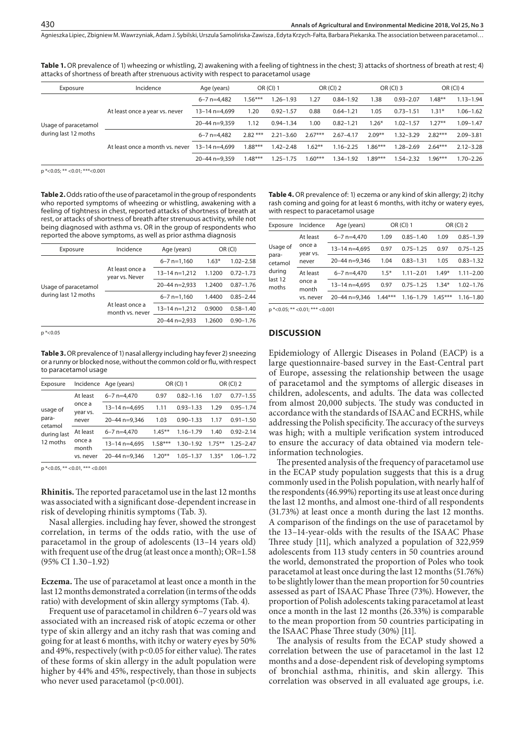Agnieszka Lipiec, Zbigniew M. Wawrzyniak, Adam J. Sybilski, Urszula Samolińska-Zawisza , Edyta Krzych-Fałta, Barbara Piekarska . The association between paracetamol…

| attacks of shortness of breath after strenuous activity with respect to paracetamol usage. |                                |                   |           |                  |           |               |             |               |           |               |
|--------------------------------------------------------------------------------------------|--------------------------------|-------------------|-----------|------------------|-----------|---------------|-------------|---------------|-----------|---------------|
| Exposure                                                                                   | Incidence                      | Age (years)       |           | <b>OR (CI) 1</b> | OR (CI) 2 |               | OR $(CI)$ 3 |               | OR (CI) 4 |               |
|                                                                                            |                                | $6 - 7$ n=4.482   | $1.56***$ | $1.26 - 1.93$    | 1.27      | $0.84 - 1.92$ | 1.38        | $0.93 - 2.07$ | $1.48**$  | $1.13 - 1.94$ |
|                                                                                            | At least once a year vs. never | $13 - 14$ n=4.699 | 1.20      | $0.92 - 1.57$    | 0.88      | $0.64 - 1.21$ | 1.05        | $0.73 - 1.51$ | $1.31*$   | $1.06 - 1.62$ |
| Usage of paracetamol                                                                       |                                | $20 - 44$ n=9.359 | 1.12      | $0.94 - 1.34$    | 1.00      | $0.82 - 1.21$ | $1.26*$     | $1.02 - 1.57$ | $1.27**$  | 1.09-1.47     |

**Table 1.** OR prevalence of 1) wheezing or whistling, 2) awakening with a feeling of tightness in the chest; 3) attacks of shortness of breath at rest; 4) attacks of shortness of breath after strenuous activity with respect to paracetamol usage

p \*<0.05; \*\* <0.01; \*\*\*<0.001

during last 12 moths

**Table 2.** Odds ratio of the use of paracetamol in the group of respondents who reported symptoms of wheezing or whistling, awakening with a feeling of tightness in chest, reported attacks of shortness of breath at rest, or attacks of shortness of breath after strenuous activity, while not being diagnosed with asthma vs. OR in the group of respondents who reported the above symptoms, as well as prior asthma diagnosis

At least once a month vs. never

| Exposure             | Incidence<br>Age (years)                                                |                   | OR (CI) |               |  |  |
|----------------------|-------------------------------------------------------------------------|-------------------|---------|---------------|--|--|
|                      |                                                                         | $6 - 7$ n=1.160   | $1.63*$ | $1.02 - 2.58$ |  |  |
|                      | At least once a<br>year vs. Never<br>At least once a<br>month vs. never | 13-14 n=1,212     | 1.1200  | $0.72 - 1.73$ |  |  |
| Usage of paracetamol |                                                                         | 20-44 n=2.933     | 1.2400  | $0.87 - 1.76$ |  |  |
| during last 12 moths |                                                                         | $6 - 7$ n=1.160   | 1.4400  | $0.85 - 2.44$ |  |  |
|                      |                                                                         | $13 - 14$ n=1.212 | 0.9000  | $0.58 - 1.40$ |  |  |
|                      |                                                                         | $20 - 44$ n=2.933 | 1.2600  | $0.90 - 1.76$ |  |  |

p \*<0.05

**Table 3.** OR prevalence of 1) nasal allergy including hay fever 2) sneezing or a runny or blocked nose, without the common cold or flu, with respect to paracetamol usage

| Exposure                                                |                                         | Incidence Age (years) | OR (CI) 1 |               | <b>OR (CI) 2</b> |               |  |
|---------------------------------------------------------|-----------------------------------------|-----------------------|-----------|---------------|------------------|---------------|--|
| usage of<br>para-<br>cetamol<br>during last<br>12 moths | At least<br>once a<br>year vs.<br>never | $6 - 7$ n=4.470       | 0.97      | $0.82 - 1.16$ | 1.07             | $0.77 - 1.55$ |  |
|                                                         |                                         | $13 - 14$ n=4.695     | 1.11      | $0.93 - 1.33$ | 1.29             | $0.95 - 1.74$ |  |
|                                                         |                                         | 20-44 n=9.346         | 1.03      | $0.90 - 1.33$ | 1.17             | $0.91 - 1.50$ |  |
|                                                         | At least                                | $6 - 7$ n=4.470       | $1.45***$ | $1.16 - 1.79$ | 1.40             | $0.92 - 2.14$ |  |
|                                                         | once a<br>month<br>vs. never            | 13-14 n=4.695         | $1.58***$ | $1.30 - 1.92$ | $1.75***$        | $1.25 - 2.47$ |  |
|                                                         |                                         | 20-44 n=9.346         | $1.20**$  | $1.05 - 1.37$ | $1.35*$          | $1.06 - 1.72$ |  |

p \*<0.05, \*\* <0.01, \*\*\* <0.001

**Rhinitis.** The reported paracetamol use in the last 12 months was associated with a significant dose-dependent increase in risk of developing rhinitis symptoms (Tab. 3).

Nasal allergies. including hay fever, showed the strongest correlation, in terms of the odds ratio, with the use of paracetamol in the group of adolescents (13–14 years old) with frequent use of the drug (at least once a month); OR=1.58 (95% CI 1.30–1.92)

**Eczema.** The use of paracetamol at least once a month in the last 12 months demonstrated a correlation (in terms of the odds ratio) with development of skin allergy symptoms (Tab. 4).

Frequent use of paracetamol in children 6–7 years old was associated with an increased risk of atopic eczema or other type of skin allergy and an itchy rash that was coming and going for at least 6 months, with itchy or watery eyes by 50% and 49%, respectively (with p<0.05 for either value). The rates of these forms of skin allergy in the adult population were higher by 44% and 45%, respectively, than those in subjects who never used paracetamol (p<0.001).

| <b>Table 4.</b> OR prevalence of: 1) eczema or any kind of skin allergy; 2) itchy |
|-----------------------------------------------------------------------------------|
| rash coming and going for at least 6 months, with itchy or watery eyes,           |
| with respect to paracetamol usage                                                 |

6–7 n=4,482 2.82 \*\*\* 2.21–3.60 2.67\*\*\* 2.67–4.17 2.09\*\* 1.32–3.29 2.82\*\*\* 2.09–3.81 13–14 n=4,699 1.88\*\*\* 1.42–2.48 1.62\*\* 1.16–2.25 1.86\*\*\* 1.28–2.69 2.64\*\*\* 2.12–3.28 20–44 n=9,359 1.48\*\*\* 1.25–1.75 1.60\*\*\* 1.34–1.92 1.89\*\*\* 1.54–2.32 1.96\*\*\* 1.70–2.26

| Exposure                                                   | Incidence<br>Age (years)                 |                   | OR (CI) 1 | OR (CI) 2     |           |               |
|------------------------------------------------------------|------------------------------------------|-------------------|-----------|---------------|-----------|---------------|
| Usage of<br>para-<br>cetamol<br>during<br>last 12<br>moths | At least<br>once a<br>year vs.<br>never  | $6 - 7$ n=4,470   | 1.09      | $0.85 - 1.40$ | 1.09      | $0.85 - 1.39$ |
|                                                            |                                          | $13 - 14$ n=4.695 | 0.97      | $0.75 - 1.25$ | 0.97      | $0.75 - 1.25$ |
|                                                            |                                          | 20-44 n=9,346     | 1.04      | $0.83 - 1.31$ | 1.05      | $0.83 - 1.32$ |
|                                                            | At least<br>once a<br>month<br>ys, never | $6 - 7$ n=4.470   | $1.5*$    | $1.11 - 2.01$ | $1.49*$   | $1.11 - 2.00$ |
|                                                            |                                          | 13-14 n=4,695     | 0.97      | $0.75 - 1.25$ | $1.34*$   | $1.02 - 1.76$ |
|                                                            |                                          | 20-44 n=9.346     | $1.44***$ | $1.16 - 1.79$ | $1.45***$ | $1.16 - 1.80$ |

p \*<0.05; \*\* <0.01; \*\*\* <0.001

#### **DISCUSSION**

Epidemiology of Allergic Diseases in Poland (EACP) is a large questionnaire-based survey in the East-Central part of Europe, assessing the relationship between the usage of paracetamol and the symptoms of allergic diseases in children, adolescents, and adults. The data was collected from almost 20,000 subjects. The study was conducted in accordance with the standards of ISAAC and ECRHS, while addressing the Polish specificity. The accuracy of the surveys was high; with a multiple verification system introduced to ensure the accuracy of data obtained via modern teleinformation technologies.

The presented analysis of the frequency of paracetamol use in the ECAP study population suggests that this is a drug commonly used in the Polish population, with nearly half of the respondents (46.99%) reporting its use at least once during the last 12 months, and almost one-third of all respondents (31.73%) at least once a month during the last 12 months. A comparison of the findings on the use of paracetamol by the 13–14-year-olds with the results of the ISAAC Phase Three study [11], which analyzed a population of 322,959 adolescents from 113 study centers in 50 countries around the world, demonstrated the proportion of Poles who took paracetamol at least once during the last 12 months (51.76%) to be slightly lower than the mean proportion for 50 countries assessed as part of ISAAC Phase Three (73%). However, the proportion of Polish adolescents taking paracetamol at least once a month in the last 12 months (26.33%) is comparable to the mean proportion from 50 countries participating in the ISAAC Phase Three study (30%) [11].

The analysis of results from the ECAP study showed a correlation between the use of paracetamol in the last 12 months and a dose-dependent risk of developing symptoms of bronchial asthma, rhinitis, and skin allergy. This correlation was observed in all evaluated age groups, i.e.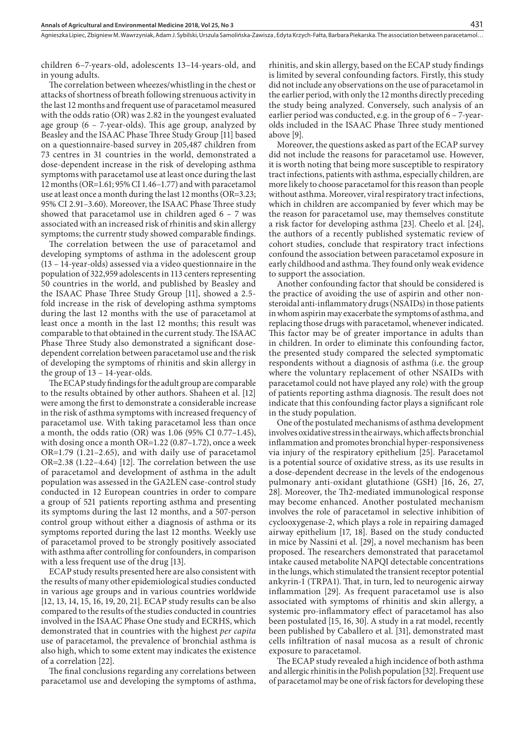children 6–7-years-old, adolescents 13–14-years-old, and in young adults.

The correlation between wheezes/whistling in the chest or attacks of shortness of breath following strenuous activity in the last 12 months and frequent use of paracetamol measured with the odds ratio (OR) was 2.82 in the youngest evaluated age group (6 – 7-year-olds). This age group, analyzed by Beasley and the ISAAC Phase Three Study Group [11] based on a questionnaire-based survey in 205,487 children from 73 centres in 31 countries in the world, demonstrated a dose-dependent increase in the risk of developing asthma symptoms with paracetamol use at least once during the last 12 months (OR=1.61; 95% CI 1.46–1.77) and with paracetamol use at least once a month during the last 12 months (OR=3.23; 95% CI 2.91–3.60). Moreover, the ISAAC Phase Three study showed that paracetamol use in children aged  $6 - 7$  was associated with an increased risk of rhinitis and skin allergy symptoms; the currentr study showed comparable findings.

The correlation between the use of paracetamol and developing symptoms of asthma in the adolescent group (13 – 14-year-olds) assessed via a video questionnaire in the population of 322,959 adolescents in 113 centers representing 50 countries in the world, and published by Beasley and the ISAAC Phase Three Study Group [11], showed a 2.5 fold increase in the risk of developing asthma symptoms during the last 12 months with the use of paracetamol at least once a month in the last 12 months; this result was comparable to that obtained in the current study. The ISAAC Phase Three Study also demonstrated a significant dosedependent correlation between paracetamol use and the risk of developing the symptoms of rhinitis and skin allergy in the group of 13 – 14-year-olds.

The ECAP study findings for the adult group are comparable to the results obtained by other authors. Shaheen et al. [12] were among the first to demonstrate a considerable increase in the risk of asthma symptoms with increased frequency of paracetamol use. With taking paracetamol less than once a month, the odds ratio (OR) was 1.06 (95% CI 0.77–1.45), with dosing once a month OR=1.22 (0.87–1.72), once a week OR=1.79 (1.21–2.65), and with daily use of paracetamol OR=2.38 (1.22–4.64) [12]. The correlation between the use of paracetamol and development of asthma in the adult population was assessed in the GA2LEN case-control study conducted in 12 European countries in order to compare a group of 521 patients reporting asthma and presenting its symptoms during the last 12 months, and a 507-person control group without either a diagnosis of asthma or its symptoms reported during the last 12 months. Weekly use of paracetamol proved to be strongly positively associated with asthma after controlling for confounders, in comparison with a less frequent use of the drug [13].

ECAP study results presented here are also consistent with the results of many other epidemiological studies conducted in various age groups and in various countries worldwide [12, 13, 14, 15, 16, 19, 20, 21]. ECAP study results can be also compared to the results of the studies conducted in countries involved in the ISAAC Phase One study and ECRHS, which demonstrated that in countries with the highest *per capita* use of paracetamol, the prevalence of bronchial asthma is also high, which to some extent may indicates the existence of a correlation [22].

The final conclusions regarding any correlations between paracetamol use and developing the symptoms of asthma,

rhinitis, and skin allergy, based on the ECAP study findings is limited by several confounding factors. Firstly, this study did not include any observations on the use of paracetamol in the earlier period, with only the 12 months directly preceding the study being analyzed. Conversely, such analysis of an earlier period was conducted, e.g. in the group of 6 – 7-yearolds included in the ISAAC Phase Three study mentioned above [9].

Moreover, the questions asked as part of the ECAP survey did not include the reasons for paracetamol use. However, it is worth noting that being more susceptible to respiratory tract infections, patients with asthma, especially children, are more likely to choose paracetamol for this reason than people without asthma. Moreover, viral respiratory tract infections, which in children are accompanied by fever which may be the reason for paracetamol use, may themselves constitute a risk factor for developing asthma [23]. Cheelo et al. [24], the authors of a recently published systematic review of cohort studies, conclude that respiratory tract infections confound the association between paracetamol exposure in early childhood and asthma. They found only weak evidence to support the association.

Another confounding factor that should be considered is the practice of avoiding the use of aspirin and other nonsteroidal anti-inflammatory drugs (NSAIDs) in those patients in whom aspirin may exacerbate the symptoms of asthma, and replacing those drugs with paracetamol, whenever indicated. This factor may be of greater importance in adults than in children. In order to eliminate this confounding factor, the presented study compared the selected symptomatic respondents without a diagnosis of asthma (i.e. the group where the voluntary replacement of other NSAIDs with paracetamol could not have played any role) with the group of patients reporting asthma diagnosis. The result does not indicate that this confounding factor plays a significant role in the study population.

One of the postulated mechanisms of asthma development involves oxidative stress in the airways, which affects bronchial inflammation and promotes bronchial hyper-responsiveness via injury of the respiratory epithelium [25]. Paracetamol is a potential source of oxidative stress, as its use results in a dose-dependent decrease in the levels of the endogenous pulmonary anti-oxidant glutathione (GSH) [16, 26, 27, 28]. Moreover, the Th2-mediated immunological response may become enhanced. Another postulated mechanism involves the role of paracetamol in selective inhibition of cyclooxygenase-2, which plays a role in repairing damaged airway epithelium [17, 18]. Based on the study conducted in mice by Nassini et al. [29], a novel mechanism has been proposed. The researchers demonstrated that paracetamol intake caused metabolite NAPQI detectable concentrations in the lungs, which stimulated the transient receptor potential ankyrin-1 (TRPA1). That, in turn, led to neurogenic airway inflammation [29]. As frequent paracetamol use is also associated with symptoms of rhinitis and skin allergy, a systemic pro-inflammatory effect of paracetamol has also been postulated [15, 16, 30]. A study in a rat model, recently been published by Caballero et al. [31], demonstrated mast cells infiltration of nasal mucosa as a result of chronic exposure to paracetamol.

The ECAP study revealed a high incidence of both asthma and allergic rhinitis in the Polish population [32]. Frequent use of paracetamol may be one of risk factors for developing these